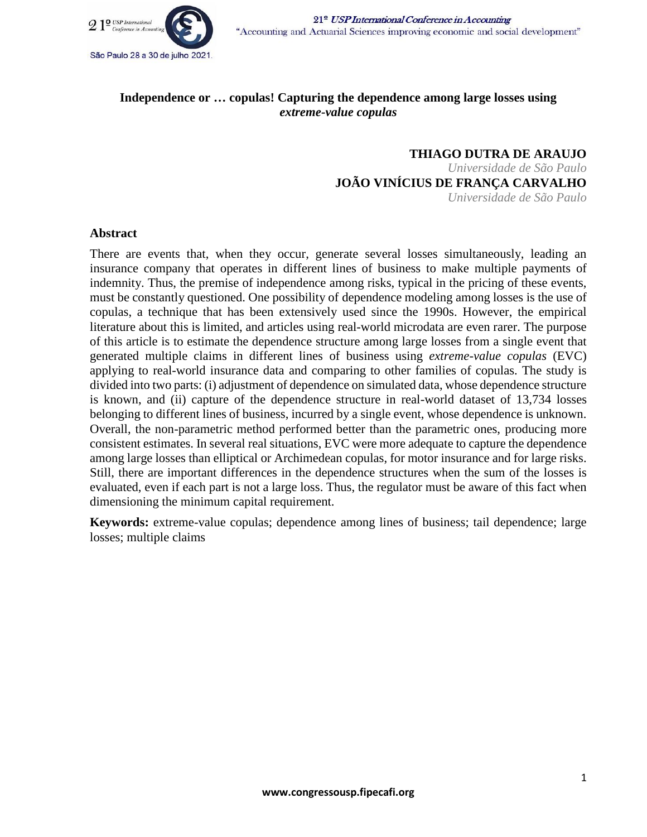

# **Independence or … copulas! Capturing the dependence among large losses using**  *extreme-value copulas*

**THIAGO DUTRA DE ARAUJO** *Universidade de São Paulo* **JOÃO VINÍCIUS DE FRANÇA CARVALHO** *Universidade de São Paulo*

## **Abstract**

There are events that, when they occur, generate several losses simultaneously, leading an insurance company that operates in different lines of business to make multiple payments of indemnity. Thus, the premise of independence among risks, typical in the pricing of these events, must be constantly questioned. One possibility of dependence modeling among losses is the use of copulas, a technique that has been extensively used since the 1990s. However, the empirical literature about this is limited, and articles using real-world microdata are even rarer. The purpose of this article is to estimate the dependence structure among large losses from a single event that generated multiple claims in different lines of business using *extreme-value copulas* (EVC) applying to real-world insurance data and comparing to other families of copulas. The study is divided into two parts: (i) adjustment of dependence on simulated data, whose dependence structure is known, and (ii) capture of the dependence structure in real-world dataset of 13,734 losses belonging to different lines of business, incurred by a single event, whose dependence is unknown. Overall, the non-parametric method performed better than the parametric ones, producing more consistent estimates. In several real situations, EVC were more adequate to capture the dependence among large losses than elliptical or Archimedean copulas, for motor insurance and for large risks. Still, there are important differences in the dependence structures when the sum of the losses is evaluated, even if each part is not a large loss. Thus, the regulator must be aware of this fact when dimensioning the minimum capital requirement.

**Keywords:** extreme-value copulas; dependence among lines of business; tail dependence; large losses; multiple claims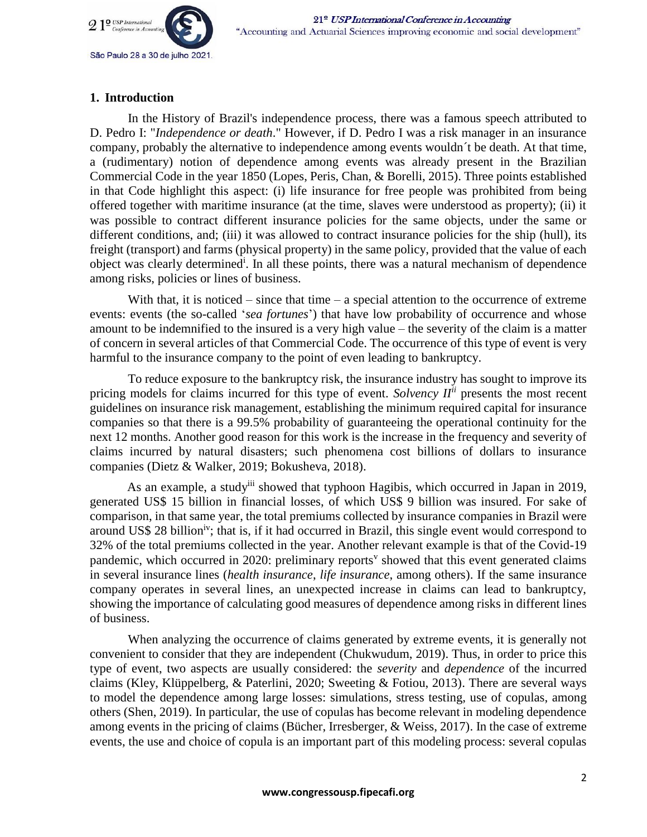

## **1. Introduction**

In the History of Brazil's independence process, there was a famous speech attributed to D. Pedro I: "*Independence or death*." However, if D. Pedro I was a risk manager in an insurance company, probably the alternative to independence among events wouldn´t be death. At that time, a (rudimentary) notion of dependence among events was already present in the Brazilian Commercial Code in the year 1850 (Lopes, Peris, Chan, & Borelli, 2015). Three points established in that Code highlight this aspect: (i) life insurance for free people was prohibited from being offered together with maritime insurance (at the time, slaves were understood as property); (ii) it was possible to contract different insurance policies for the same objects, under the same or different conditions, and; (iii) it was allowed to contract insurance policies for the ship (hull), its freight (transport) and farms (physical property) in the same policy, provided that the value of each object was clearly determined<sup>i</sup>. In all these points, there was a natural mechanism of dependence among risks, policies or lines of business.

With that, it is noticed – since that time – a special attention to the occurrence of extreme events: events (the so-called '*sea fortunes*') that have low probability of occurrence and whose amount to be indemnified to the insured is a very high value – the severity of the claim is a matter of concern in several articles of that Commercial Code. The occurrence of this type of event is very harmful to the insurance company to the point of even leading to bankruptcy.

To reduce exposure to the bankruptcy risk, the insurance industry has sought to improve its pricing models for claims incurred for this type of event. *Solvency IIii* presents the most recent guidelines on insurance risk management, establishing the minimum required capital for insurance companies so that there is a 99.5% probability of guaranteeing the operational continuity for the next 12 months. Another good reason for this work is the increase in the frequency and severity of claims incurred by natural disasters; such phenomena cost billions of dollars to insurance companies (Dietz & Walker, 2019; Bokusheva, 2018).

As an example, a study<sup>iii</sup> showed that typhoon Hagibis, which occurred in Japan in 2019, generated US\$ 15 billion in financial losses, of which US\$ 9 billion was insured. For sake of comparison, in that same year, the total premiums collected by insurance companies in Brazil were around US\$ 28 billion<sup>iv</sup>; that is, if it had occurred in Brazil, this single event would correspond to 32% of the total premiums collected in the year. Another relevant example is that of the Covid-19 pandemic, which occurred in 2020: preliminary reports<sup> $v$ </sup> showed that this event generated claims in several insurance lines (*health insurance*, *life insurance*, among others). If the same insurance company operates in several lines, an unexpected increase in claims can lead to bankruptcy, showing the importance of calculating good measures of dependence among risks in different lines of business.

When analyzing the occurrence of claims generated by extreme events, it is generally not convenient to consider that they are independent (Chukwudum, 2019). Thus, in order to price this type of event, two aspects are usually considered: the *severity* and *dependence* of the incurred claims (Kley, Klüppelberg, & Paterlini, 2020; Sweeting & Fotiou, 2013). There are several ways to model the dependence among large losses: simulations, stress testing, use of copulas, among others (Shen, 2019). In particular, the use of copulas has become relevant in modeling dependence among events in the pricing of claims (Bücher, Irresberger, & Weiss, 2017). In the case of extreme events, the use and choice of copula is an important part of this modeling process: several copulas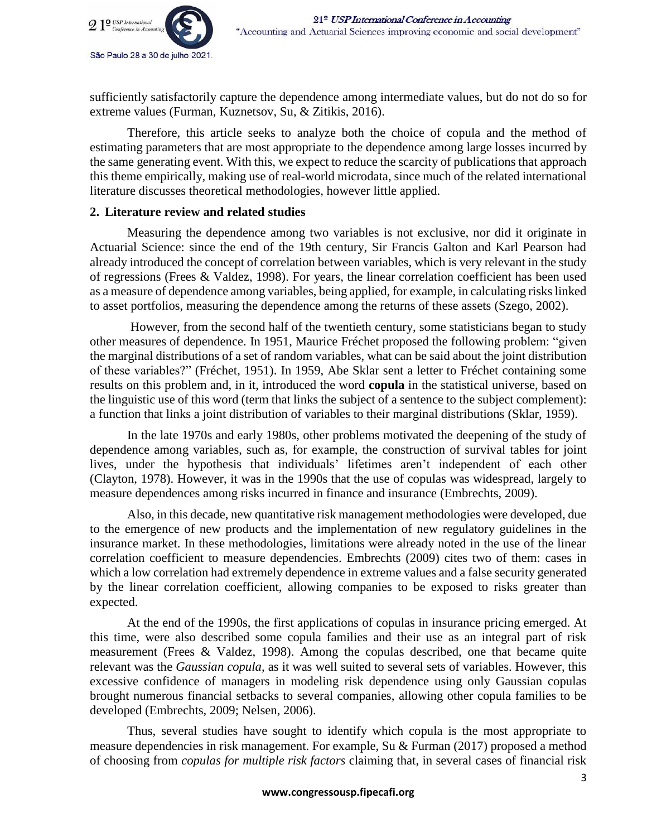

sufficiently satisfactorily capture the dependence among intermediate values, but do not do so for extreme values (Furman, Kuznetsov, Su, & Zitikis, 2016).

Therefore, this article seeks to analyze both the choice of copula and the method of estimating parameters that are most appropriate to the dependence among large losses incurred by the same generating event. With this, we expect to reduce the scarcity of publications that approach this theme empirically, making use of real-world microdata, since much of the related international literature discusses theoretical methodologies, however little applied.

## **2. Literature review and related studies**

Measuring the dependence among two variables is not exclusive, nor did it originate in Actuarial Science: since the end of the 19th century, Sir Francis Galton and Karl Pearson had already introduced the concept of correlation between variables, which is very relevant in the study of regressions (Frees & Valdez, 1998). For years, the linear correlation coefficient has been used as a measure of dependence among variables, being applied, for example, in calculating risks linked to asset portfolios, measuring the dependence among the returns of these assets (Szego, 2002).

However, from the second half of the twentieth century, some statisticians began to study other measures of dependence. In 1951, Maurice Fréchet proposed the following problem: "given the marginal distributions of a set of random variables, what can be said about the joint distribution of these variables?" (Fréchet, 1951). In 1959, Abe Sklar sent a letter to Fréchet containing some results on this problem and, in it, introduced the word **copula** in the statistical universe, based on the linguistic use of this word (term that links the subject of a sentence to the subject complement): a function that links a joint distribution of variables to their marginal distributions (Sklar, 1959).

In the late 1970s and early 1980s, other problems motivated the deepening of the study of dependence among variables, such as, for example, the construction of survival tables for joint lives, under the hypothesis that individuals' lifetimes aren't independent of each other (Clayton, 1978). However, it was in the 1990s that the use of copulas was widespread, largely to measure dependences among risks incurred in finance and insurance (Embrechts, 2009).

Also, in this decade, new quantitative risk management methodologies were developed, due to the emergence of new products and the implementation of new regulatory guidelines in the insurance market. In these methodologies, limitations were already noted in the use of the linear correlation coefficient to measure dependencies. Embrechts (2009) cites two of them: cases in which a low correlation had extremely dependence in extreme values and a false security generated by the linear correlation coefficient, allowing companies to be exposed to risks greater than expected.

At the end of the 1990s, the first applications of copulas in insurance pricing emerged. At this time, were also described some copula families and their use as an integral part of risk measurement (Frees & Valdez, 1998). Among the copulas described, one that became quite relevant was the *Gaussian copula*, as it was well suited to several sets of variables. However, this excessive confidence of managers in modeling risk dependence using only Gaussian copulas brought numerous financial setbacks to several companies, allowing other copula families to be developed (Embrechts, 2009; Nelsen, 2006).

Thus, several studies have sought to identify which copula is the most appropriate to measure dependencies in risk management. For example, Su & Furman (2017) proposed a method of choosing from *copulas for multiple risk factors* claiming that, in several cases of financial risk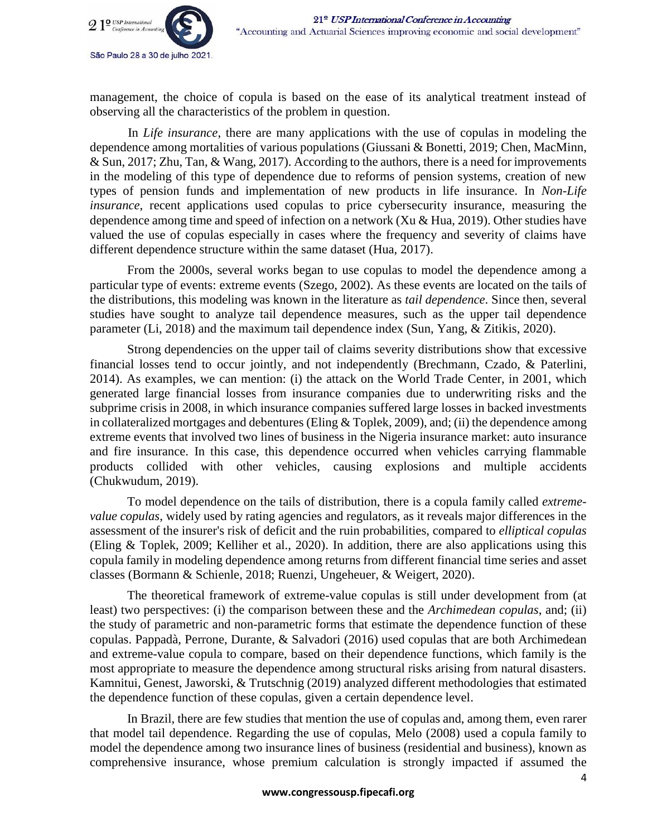

management, the choice of copula is based on the ease of its analytical treatment instead of observing all the characteristics of the problem in question.

In *Life insurance*, there are many applications with the use of copulas in modeling the dependence among mortalities of various populations (Giussani & Bonetti, 2019; Chen, MacMinn, & Sun, 2017; Zhu, Tan, & Wang, 2017). According to the authors, there is a need for improvements in the modeling of this type of dependence due to reforms of pension systems, creation of new types of pension funds and implementation of new products in life insurance. In *Non-Life insurance*, recent applications used copulas to price cybersecurity insurance, measuring the dependence among time and speed of infection on a network (Xu  $\&$  Hua, 2019). Other studies have valued the use of copulas especially in cases where the frequency and severity of claims have different dependence structure within the same dataset (Hua, 2017).

From the 2000s, several works began to use copulas to model the dependence among a particular type of events: extreme events (Szego, 2002). As these events are located on the tails of the distributions, this modeling was known in the literature as *tail dependence*. Since then, several studies have sought to analyze tail dependence measures, such as the upper tail dependence parameter (Li, 2018) and the maximum tail dependence index (Sun, Yang, & Zitikis, 2020).

Strong dependencies on the upper tail of claims severity distributions show that excessive financial losses tend to occur jointly, and not independently (Brechmann, Czado, & Paterlini, 2014). As examples, we can mention: (i) the attack on the World Trade Center, in 2001, which generated large financial losses from insurance companies due to underwriting risks and the subprime crisis in 2008, in which insurance companies suffered large losses in backed investments in collateralized mortgages and debentures (Eling & Toplek, 2009), and; (ii) the dependence among extreme events that involved two lines of business in the Nigeria insurance market: auto insurance and fire insurance. In this case, this dependence occurred when vehicles carrying flammable products collided with other vehicles, causing explosions and multiple accidents (Chukwudum, 2019).

To model dependence on the tails of distribution, there is a copula family called *extremevalue copulas*, widely used by rating agencies and regulators, as it reveals major differences in the assessment of the insurer's risk of deficit and the ruin probabilities, compared to *elliptical copulas* (Eling & Toplek, 2009; Kelliher et al., 2020). In addition, there are also applications using this copula family in modeling dependence among returns from different financial time series and asset classes (Bormann & Schienle, 2018; Ruenzi, Ungeheuer, & Weigert, 2020).

The theoretical framework of extreme-value copulas is still under development from (at least) two perspectives: (i) the comparison between these and the *Archimedean copulas*, and; (ii) the study of parametric and non-parametric forms that estimate the dependence function of these copulas. Pappadà, Perrone, Durante, & Salvadori (2016) used copulas that are both Archimedean and extreme-value copula to compare, based on their dependence functions, which family is the most appropriate to measure the dependence among structural risks arising from natural disasters. Kamnitui, Genest, Jaworski, & Trutschnig (2019) analyzed different methodologies that estimated the dependence function of these copulas, given a certain dependence level.

In Brazil, there are few studies that mention the use of copulas and, among them, even rarer that model tail dependence. Regarding the use of copulas, Melo (2008) used a copula family to model the dependence among two insurance lines of business (residential and business), known as comprehensive insurance, whose premium calculation is strongly impacted if assumed the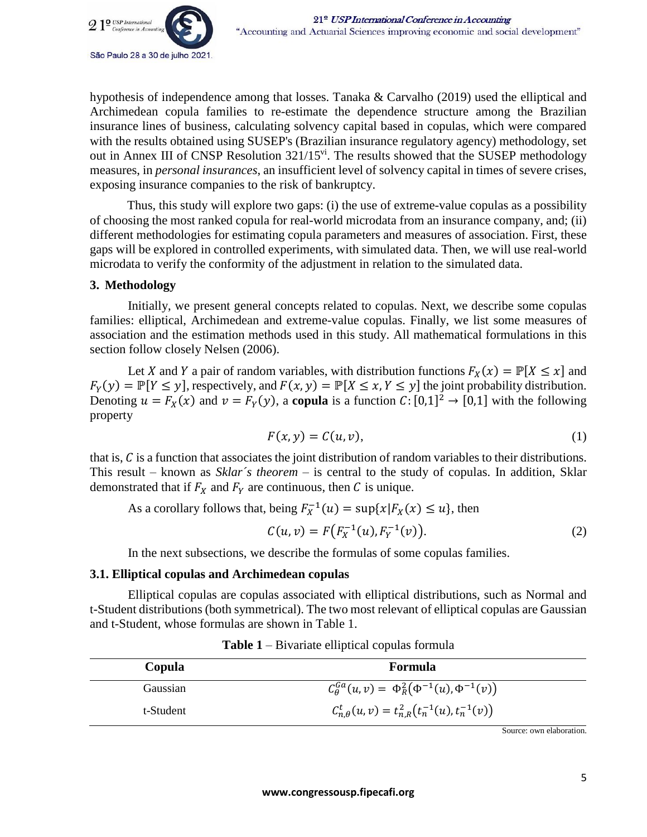

hypothesis of independence among that losses. Tanaka & Carvalho (2019) used the elliptical and Archimedean copula families to re-estimate the dependence structure among the Brazilian insurance lines of business, calculating solvency capital based in copulas, which were compared with the results obtained using SUSEP's (Brazilian insurance regulatory agency) methodology, set out in Annex III of CNSP Resolution 321/15<sup>vi</sup>. The results showed that the SUSEP methodology measures, in *personal insurances*, an insufficient level of solvency capital in times of severe crises, exposing insurance companies to the risk of bankruptcy.

Thus, this study will explore two gaps: (i) the use of extreme-value copulas as a possibility of choosing the most ranked copula for real-world microdata from an insurance company, and; (ii) different methodologies for estimating copula parameters and measures of association. First, these gaps will be explored in controlled experiments, with simulated data. Then, we will use real-world microdata to verify the conformity of the adjustment in relation to the simulated data.

## **3. Methodology**

Initially, we present general concepts related to copulas. Next, we describe some copulas families: elliptical, Archimedean and extreme-value copulas. Finally, we list some measures of association and the estimation methods used in this study. All mathematical formulations in this section follow closely Nelsen (2006).

Let X and Y a pair of random variables, with distribution functions  $F_X(x) = \mathbb{P}[X \le x]$  and  $F_Y(y) = \mathbb{P}[Y \le y]$ , respectively, and  $F(x, y) = \mathbb{P}[X \le x, Y \le y]$  the joint probability distribution. Denoting  $u = F_X(x)$  and  $v = F_Y(y)$ , a **copula** is a function  $C: [0,1]^2 \to [0,1]$  with the following property

$$
F(x, y) = C(u, v), \tag{1}
$$

that is,  $C$  is a function that associates the joint distribution of random variables to their distributions. This result – known as *Sklar´s theorem* – is central to the study of copulas. In addition, Sklar demonstrated that if  $F_X$  and  $F_Y$  are continuous, then C is unique.

As a corollary follows that, being  $F_X^{-1}(u) = \sup\{x | F_X(x) \le u\}$ , then

$$
C(u, v) = F(F_X^{-1}(u), F_Y^{-1}(v)).
$$
\n(2)

In the next subsections, we describe the formulas of some copulas families.

## **3.1. Elliptical copulas and Archimedean copulas**

Elliptical copulas are copulas associated with elliptical distributions, such as Normal and t-Student distributions (both symmetrical). The two most relevant of elliptical copulas are Gaussian and t-Student, whose formulas are shown in Table 1.

| Copula          | Formula                                                         |
|-----------------|-----------------------------------------------------------------|
| <b>Gaussian</b> | $C_{\theta}^{Ga}(u,v) = \Phi_R^2(\Phi^{-1}(u), \Phi^{-1}(v))$   |
| t-Student       | $C_{n,\theta}^{t}(u,v) = t_{n,R}^{2}(t_n^{-1}(u), t_n^{-1}(v))$ |

| <b>Table 1</b> – Bivariate elliptical copulas formula |  |
|-------------------------------------------------------|--|
|-------------------------------------------------------|--|

Source: own elaboration.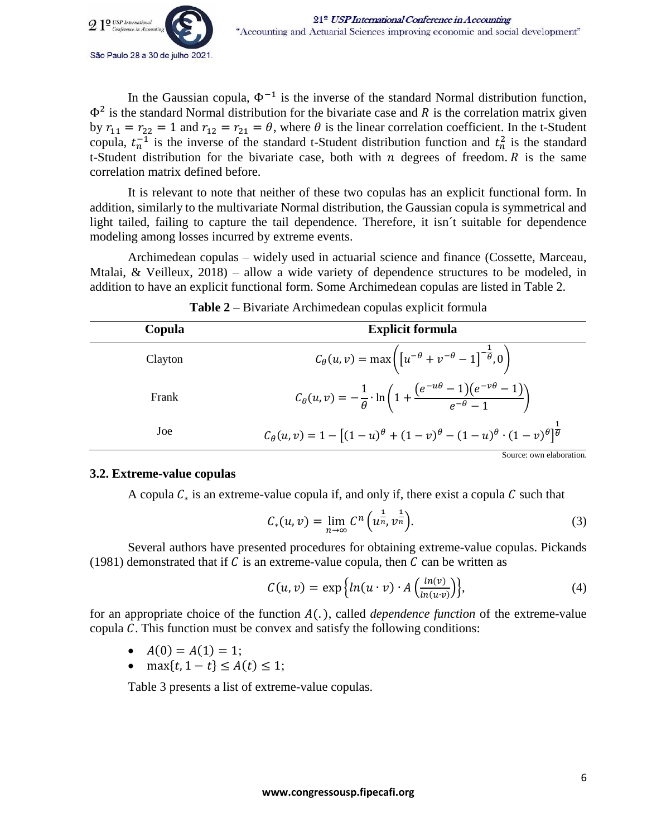

In the Gaussian copula,  $\Phi^{-1}$  is the inverse of the standard Normal distribution function,  $\Phi^2$  is the standard Normal distribution for the bivariate case and R is the correlation matrix given by  $r_{11} = r_{22} = 1$  and  $r_{12} = r_{21} = \theta$ , where  $\theta$  is the linear correlation coefficient. In the t-Student copula,  $t_n^{-1}$  is the inverse of the standard t-Student distribution function and  $t_n^2$  is the standard t-Student distribution for the bivariate case, both with  $n$  degrees of freedom.  $R$  is the same correlation matrix defined before.

It is relevant to note that neither of these two copulas has an explicit functional form. In addition, similarly to the multivariate Normal distribution, the Gaussian copula is symmetrical and light tailed, failing to capture the tail dependence. Therefore, it isn´t suitable for dependence modeling among losses incurred by extreme events.

Archimedean copulas – widely used in actuarial science and finance (Cossette, Marceau, Mtalai, & Veilleux, 2018) – allow a wide variety of dependence structures to be modeled, in addition to have an explicit functional form. Some Archimedean copulas are listed in Table 2.

| Copula  | <b>Explicit formula</b>                                                                                                          |
|---------|----------------------------------------------------------------------------------------------------------------------------------|
| Clayton | $C_{\theta}(u, v) = \max \left( \left[ u^{-\theta} + v^{-\theta} - 1 \right]^{-\frac{1}{\theta}}, 0 \right)$                     |
| Frank   | $C_{\theta}(u, v) = -\frac{1}{\theta} \cdot \ln \left( 1 + \frac{(e^{-u\theta} - 1)(e^{-v\theta} - 1)}{e^{-\theta} - 1} \right)$ |
| Joe     | $C_{\theta}(u,v) = 1 - [(1-u)^{\theta} + (1-v)^{\theta} - (1-u)^{\theta} \cdot (1-v)^{\theta}]^{\frac{1}{\theta}}$               |
|         | Source: own elaboration.                                                                                                         |

## **3.2. Extreme-value copulas**

A copula  $C_*$  is an extreme-value copula if, and only if, there exist a copula C such that

$$
C_*(u,v) = \lim_{n \to \infty} C^n \left( u^{\frac{1}{n}} v^{\frac{1}{n}} \right).
$$
 (3)

Several authors have presented procedures for obtaining extreme-value copulas. Pickands (1981) demonstrated that if  $C$  is an extreme-value copula, then  $C$  can be written as

$$
C(u,v) = \exp\Big\{ \ln(u \cdot v) \cdot A\Big(\frac{\ln(v)}{\ln(u \cdot v)}\Big) \Big\},\tag{4}
$$

for an appropriate choice of the function  $A(.)$ , called *dependence function* of the extreme-value copula  $C$ . This function must be convex and satisfy the following conditions:

- $A(0) = A(1) = 1;$
- max $\{t, 1 t\} \le A(t) \le 1;$

Table 3 presents a list of extreme-value copulas.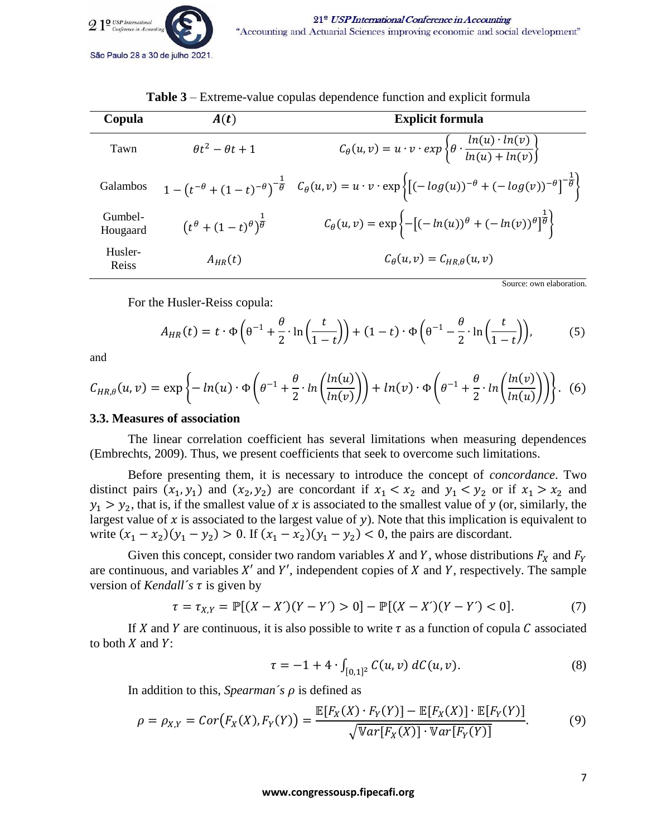

| Copula              | A(t)                                                        | <b>Explicit formula</b>                                                                                                                                                             |
|---------------------|-------------------------------------------------------------|-------------------------------------------------------------------------------------------------------------------------------------------------------------------------------------|
| Tawn                | $\theta t^2 - \theta t + 1$                                 | $C_{\theta}(u,v) = u \cdot v \cdot exp\left\{\theta \cdot \frac{ln(u) \cdot ln(v)}{ln(u) + ln(v)}\right\}$                                                                          |
| Galambos            |                                                             | $1 - (t^{-\theta} + (1-t)^{-\theta})^{-\frac{1}{\theta}} C_{\theta}(u, v) = u \cdot v \cdot \exp\left\{ [(-\log(u))^{-\theta} + (-\log(v))^{-\theta}]^{-\frac{1}{\theta}} \right\}$ |
| Gumbel-<br>Hougaard | $\left(t^{\theta}+(1-t)^{\theta}\right)^{\frac{1}{\theta}}$ | $C_{\theta}(u, v) = \exp \left\{-\left[(-\ln(u))^{\theta} + (-\ln(v))^{\theta}\right]^{\frac{1}{\theta}}\right\}$                                                                   |
| Husler-<br>Reiss    | $A_{HR}(t)$                                                 | $C_{\theta}(u,v) = C_{HR,\theta}(u,v)$                                                                                                                                              |

**Table 3** – Extreme-value copulas dependence function and explicit formula

Source: own elaboration.

For the Husler-Reiss copula:

$$
A_{HR}(t) = t \cdot \Phi\left(\theta^{-1} + \frac{\theta}{2} \cdot \ln\left(\frac{t}{1-t}\right)\right) + (1-t) \cdot \Phi\left(\theta^{-1} - \frac{\theta}{2} \cdot \ln\left(\frac{t}{1-t}\right)\right),\tag{5}
$$

and

$$
C_{HR,\theta}(u,v) = \exp\left\{-\ln(u)\cdot\Phi\left(\theta^{-1} + \frac{\theta}{2}\cdot\ln\left(\frac{\ln(u)}{\ln(v)}\right)\right) + \ln(v)\cdot\Phi\left(\theta^{-1} + \frac{\theta}{2}\cdot\ln\left(\frac{\ln(v)}{\ln(u)}\right)\right)\right\}.
$$
 (6)

#### **3.3. Measures of association**

The linear correlation coefficient has several limitations when measuring dependences (Embrechts, 2009). Thus, we present coefficients that seek to overcome such limitations.

Before presenting them, it is necessary to introduce the concept of *concordance*. Two distinct pairs  $(x_1, y_1)$  and  $(x_2, y_2)$  are concordant if  $x_1 < x_2$  and  $y_1 < y_2$  or if  $x_1 > x_2$  and  $y_1 > y_2$ , that is, if the smallest value of x is associated to the smallest value of y (or, similarly, the largest value of  $x$  is associated to the largest value of  $y$ ). Note that this implication is equivalent to write  $(x_1 - x_2)(y_1 - y_2) > 0$ . If  $(x_1 - x_2)(y_1 - y_2) < 0$ , the pairs are discordant.

Given this concept, consider two random variables  $X$  and  $Y$ , whose distributions  $F_X$  and  $F_Y$ are continuous, and variables  $X'$  and  $Y'$ , independent copies of  $X$  and  $Y$ , respectively. The sample version of *Kendall*'s  $\tau$  is given by

$$
\tau = \tau_{X,Y} = \mathbb{P}[(X - X')(Y - Y') > 0] - \mathbb{P}[(X - X')(Y - Y') < 0].\tag{7}
$$

If X and Y are continuous, it is also possible to write  $\tau$  as a function of copula C associated to both  $X$  and  $Y$ :

$$
\tau = -1 + 4 \cdot \int_{[0,1]^2} C(u,v) \, dC(u,v). \tag{8}
$$

In addition to this, *Spearman's*  $\rho$  is defined as

$$
\rho = \rho_{X,Y} = Cor(F_X(X), F_Y(Y)) = \frac{\mathbb{E}[F_X(X) \cdot F_Y(Y)] - \mathbb{E}[F_X(X)] \cdot \mathbb{E}[F_Y(Y)]}{\sqrt{\mathbb{V}ar[F_X(X)] \cdot \mathbb{V}ar[F_Y(Y)]}}.
$$
(9)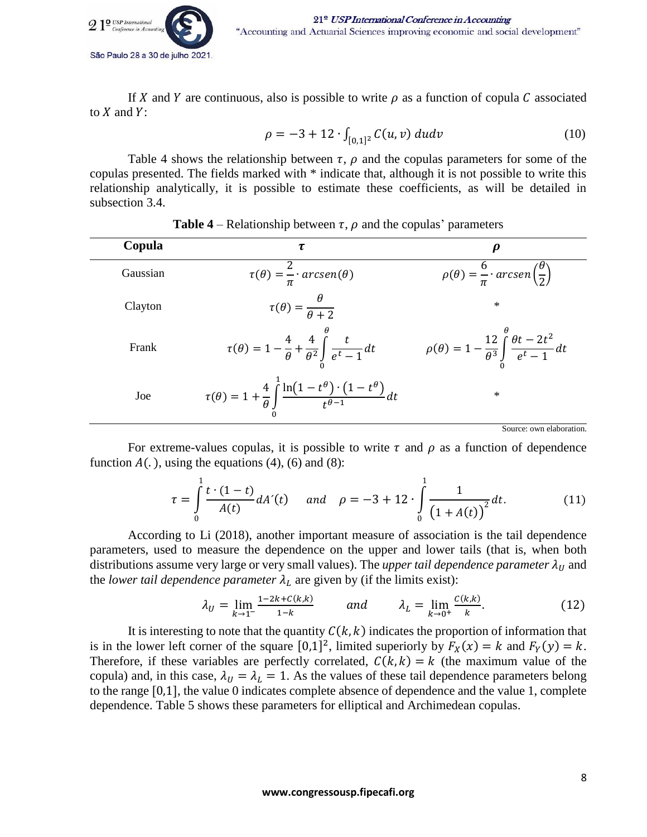

If X and Y are continuous, also is possible to write  $\rho$  as a function of copula C associated to  $X$  and  $Y$ :

$$
\rho = -3 + 12 \cdot \int_{[0,1]^2} C(u,v) \ du dv \tag{10}
$$

Table 4 shows the relationship between  $\tau$ ,  $\rho$  and the copulas parameters for some of the copulas presented. The fields marked with \* indicate that, although it is not possible to write this relationship analytically, it is possible to estimate these coefficients, as will be detailed in subsection 3.4.

| Copula   | τ                                                                                                                       |                                                                                               |
|----------|-------------------------------------------------------------------------------------------------------------------------|-----------------------------------------------------------------------------------------------|
| Gaussian | $\tau(\theta) = \frac{2}{\pi} \cdot \arcsin(\theta)$                                                                    | $\rho(\theta) = \frac{6}{\pi} \cdot \arcsin\left(\frac{\theta}{2}\right)$                     |
| Clayton  | $\tau(\theta) = \frac{\theta}{\theta+2}$                                                                                | $\ast$                                                                                        |
| Frank    | $\tau(\theta) = 1 - \frac{4}{\theta} + \frac{4}{\theta^2} \int_{0}^{\theta} \frac{t}{e^t - 1} dt$                       | $\rho(\theta) = 1 - \frac{12}{\theta^3} \int_{0}^{\theta} \frac{\theta t - 2t^2}{e^t - 1} dt$ |
| Joe      | $\tau(\theta) = 1 + \frac{4}{\theta} \int_{0}^{1} \frac{\ln(1 - t^{\theta}) \cdot (1 - t^{\theta})}{t^{\theta - 1}} dt$ | $\ast$                                                                                        |

| <b>Table 4</b> – Relationship between $\tau$ , $\rho$ and the copulas' parameters |
|-----------------------------------------------------------------------------------|
|-----------------------------------------------------------------------------------|

Source: own elaboration.

For extreme-values copulas, it is possible to write  $\tau$  and  $\rho$  as a function of dependence function  $A(.)$ , using the equations (4), (6) and (8):

$$
\tau = \int_{0}^{1} \frac{t \cdot (1-t)}{A(t)} dA'(t) \quad \text{and} \quad \rho = -3 + 12 \cdot \int_{0}^{1} \frac{1}{(1 + A(t))^{2}} dt. \tag{11}
$$

According to Li (2018), another important measure of association is the tail dependence parameters, used to measure the dependence on the upper and lower tails (that is, when both distributions assume very large or very small values). The *upper tail dependence parameter*  $\lambda_U$  and the *lower tail dependence parameter*  $\lambda_L$  are given by (if the limits exist):

$$
\lambda_U = \lim_{k \to 1^-} \frac{1 - 2k + C(k, k)}{1 - k} \quad \text{and} \quad \lambda_L = \lim_{k \to 0^+} \frac{C(k, k)}{k}.
$$
 (12)

It is interesting to note that the quantity  $C(k, k)$  indicates the proportion of information that is in the lower left corner of the square  $[0,1]^2$ , limited superiorly by  $F_X(x) = k$  and  $F_Y(y) = k$ . Therefore, if these variables are perfectly correlated,  $C(k, k) = k$  (the maximum value of the copula) and, in this case,  $\lambda_U = \lambda_L = 1$ . As the values of these tail dependence parameters belong to the range [0,1], the value 0 indicates complete absence of dependence and the value 1, complete dependence. Table 5 shows these parameters for elliptical and Archimedean copulas.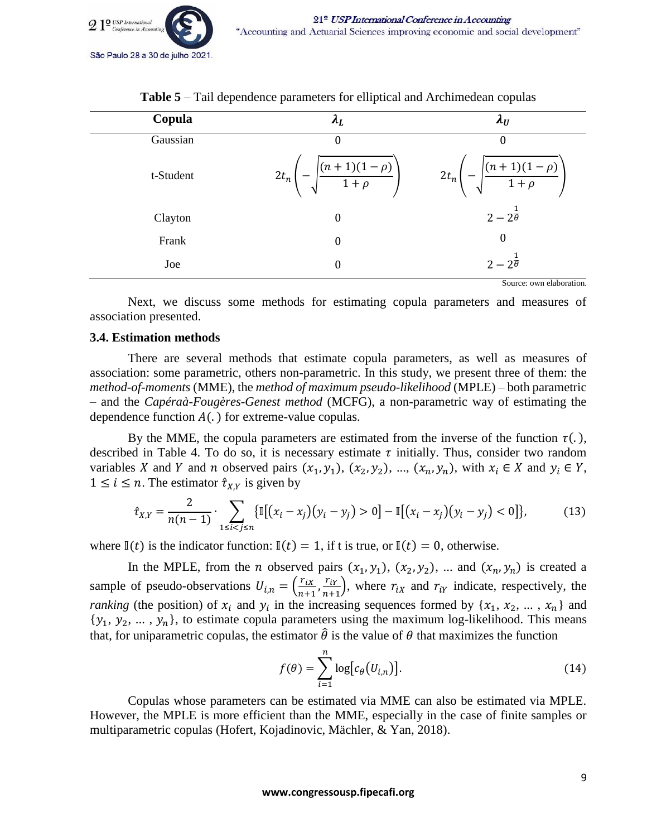

| Copula    | $\Lambda_{L}$                                 | $\lambda_U$                                   |
|-----------|-----------------------------------------------|-----------------------------------------------|
| Gaussian  | 0                                             | 0                                             |
| t-Student | $\frac{(n+1)(1-\rho)}{1+\rho}$<br>$2t_n$<br>N | $\frac{(n+1)(1-\rho)}{1+\rho}$<br>$2t_n$<br>N |
| Clayton   | $\boldsymbol{0}$                              | $2-2^{\frac{1}{\theta}}$                      |
| Frank     | $\boldsymbol{0}$                              | 0                                             |
| Joe       | $\boldsymbol{0}$                              | $2-2\overline{\theta}$                        |

**Table 5** – Tail dependence parameters for elliptical and Archimedean copulas

Source: own elaboration.

Next, we discuss some methods for estimating copula parameters and measures of association presented.

## **3.4. Estimation methods**

There are several methods that estimate copula parameters, as well as measures of association: some parametric, others non-parametric. In this study, we present three of them: the *method-of-moments* (MME), the *method of maximum pseudo-likelihood* (MPLE) – both parametric – and the *Capéraà-Fougères-Genest method* (MCFG), a non-parametric way of estimating the dependence function  $A(.)$  for extreme-value copulas.

By the MME, the copula parameters are estimated from the inverse of the function  $\tau(.)$ , described in Table 4. To do so, it is necessary estimate  $\tau$  initially. Thus, consider two random variables X and Y and n observed pairs  $(x_1, y_1)$ ,  $(x_2, y_2)$ , ...,  $(x_n, y_n)$ , with  $x_i \in X$  and  $y_i \in Y$ ,  $1 \le i \le n$ . The estimator  $\hat{\tau}_{X,Y}$  is given by

$$
\hat{\tau}_{X,Y} = \frac{2}{n(n-1)} \cdot \sum_{1 \le i < j \le n} \{ \mathbb{I}[(x_i - x_j)(y_i - y_j) > 0] - \mathbb{I}[(x_i - x_j)(y_i - y_j) < 0] \},\tag{13}
$$

where  $\mathbb{I}(t)$  is the indicator function:  $\mathbb{I}(t) = 1$ , if t is true, or  $\mathbb{I}(t) = 0$ , otherwise.

In the MPLE, from the *n* observed pairs  $(x_1, y_1)$ ,  $(x_2, y_2)$ , ... and  $(x_n, y_n)$  is created a sample of pseudo-observations  $U_{i,n} = \left(\frac{r_{iX}}{n+1}\right)^{n}$  $\frac{r_{ix}}{n+1}, \frac{r_{iY}}{n+1}$  $\frac{r_{iY}}{n+1}$ , where  $r_{iX}$  and  $r_{iY}$  indicate, respectively, the *ranking* (the position) of  $x_i$  and  $y_i$  in the increasing sequences formed by  $\{x_1, x_2, ..., x_n\}$  and  $\{y_1, y_2, ..., y_n\}$ , to estimate copula parameters using the maximum log-likelihood. This means that, for uniparametric copulas, the estimator  $\hat{\theta}$  is the value of  $\theta$  that maximizes the function

$$
f(\theta) = \sum_{i=1}^{n} \log[c_{\theta}(U_{i,n})].
$$
 (14)

Copulas whose parameters can be estimated via MME can also be estimated via MPLE. However, the MPLE is more efficient than the MME, especially in the case of finite samples or multiparametric copulas (Hofert, Kojadinovic, Mächler, & Yan, 2018).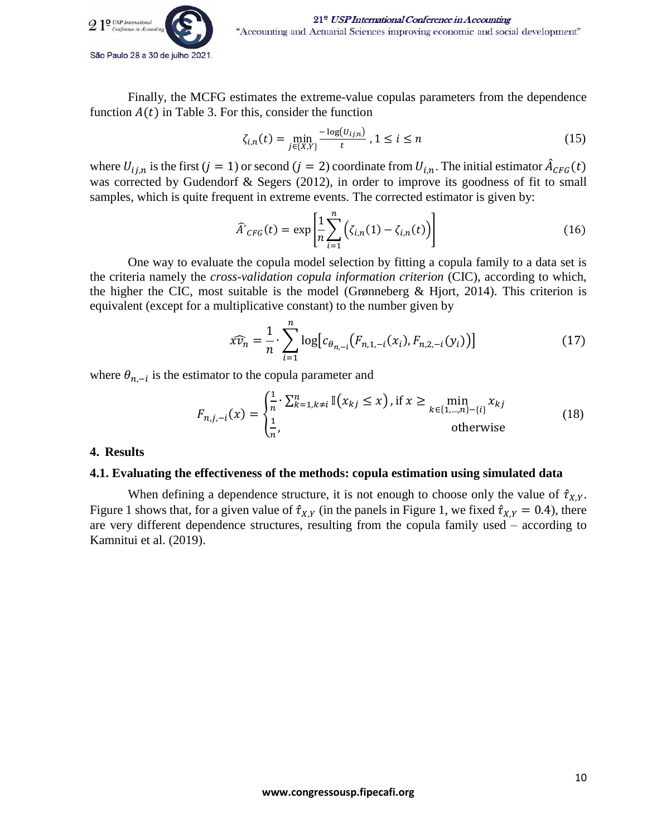

Finally, the MCFG estimates the extreme-value copulas parameters from the dependence function  $A(t)$  in Table 3. For this, consider the function

$$
\zeta_{i,n}(t) = \min_{j \in \{X,Y\}} \frac{-\log(U_{ij,n})}{t}, 1 \le i \le n
$$
\n(15)

where  $U_{i,j,n}$  is the first  $(j = 1)$  or second  $(j = 2)$  coordinate from  $U_{i,n}$ . The initial estimator  $\hat{A}_{CFG}(t)$ was corrected by Gudendorf & Segers (2012), in order to improve its goodness of fit to small samples, which is quite frequent in extreme events. The corrected estimator is given by:

$$
\widehat{A}'_{CFG}(t) = \exp\left[\frac{1}{n}\sum_{i=1}^{n} \left(\zeta_{i,n}(1) - \zeta_{i,n}(t)\right)\right]
$$
\n(16)

One way to evaluate the copula model selection by fitting a copula family to a data set is the criteria namely the *cross-validation copula information criterion* (CIC), according to which, the higher the CIC, most suitable is the model (Grønneberg  $\&$  Hjort, 2014). This criterion is equivalent (except for a multiplicative constant) to the number given by

$$
\widehat{xv_n} = \frac{1}{n} \cdot \sum_{i=1}^n \log \bigl[ c_{\theta_{n,-i}}(F_{n,1,-i}(x_i), F_{n,2,-i}(y_i)) \bigr] \tag{17}
$$

where  $\theta_{n,-i}$  is the estimator to the copula parameter and

$$
F_{n,j,-i}(x) = \begin{cases} \frac{1}{n} \cdot \sum_{k=1, k \neq i}^{n} \mathbb{I}(x_{kj} \leq x) \text{, if } x \geq \min_{k \in \{1, \dots, n\} - \{i\}} x_{kj} \\ \frac{1}{n}, & \text{otherwise} \end{cases}
$$
(18)

## **4. Results**

## **4.1. Evaluating the effectiveness of the methods: copula estimation using simulated data**

When defining a dependence structure, it is not enough to choose only the value of  $\hat{\tau}_{XY}$ . Figure 1 shows that, for a given value of  $\hat{\tau}_{XY}$  (in the panels in Figure 1, we fixed  $\hat{\tau}_{X,Y} = 0.4$ ), there are very different dependence structures, resulting from the copula family used – according to Kamnitui et al. (2019).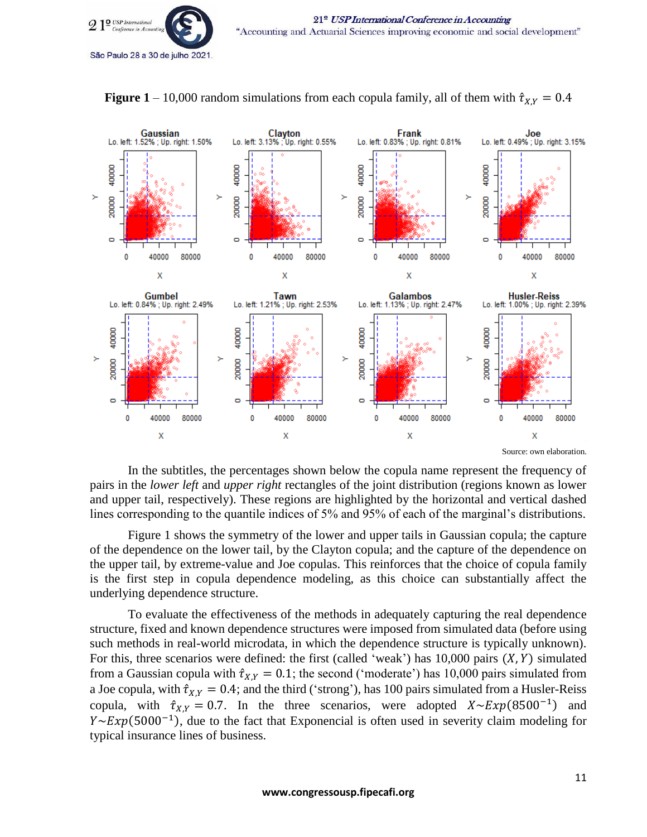

**Figure** 1 – 10,000 random simulations from each copula family, all of them with  $\hat{\tau}_{X,Y} = 0.4$ 



In the subtitles, the percentages shown below the copula name represent the frequency of pairs in the *lower left* and *upper right* rectangles of the joint distribution (regions known as lower and upper tail, respectively). These regions are highlighted by the horizontal and vertical dashed lines corresponding to the quantile indices of 5% and 95% of each of the marginal's distributions.

Figure 1 shows the symmetry of the lower and upper tails in Gaussian copula; the capture of the dependence on the lower tail, by the Clayton copula; and the capture of the dependence on the upper tail, by extreme-value and Joe copulas. This reinforces that the choice of copula family is the first step in copula dependence modeling, as this choice can substantially affect the underlying dependence structure.

To evaluate the effectiveness of the methods in adequately capturing the real dependence structure, fixed and known dependence structures were imposed from simulated data (before using such methods in real-world microdata, in which the dependence structure is typically unknown). For this, three scenarios were defined: the first (called 'weak') has  $10,000$  pairs  $(X, Y)$  simulated from a Gaussian copula with  $\hat{\tau}_{X,Y} = 0.1$ ; the second ('moderate') has 10,000 pairs simulated from a Joe copula, with  $\hat{\tau}_{X,Y} = 0.4$ ; and the third ('strong'), has 100 pairs simulated from a Husler-Reiss copula, with  $\hat{\tau}_{X,Y} = 0.7$ . In the three scenarios, were adopted  $X \sim Exp(8500^{-1})$  and  $Y \sim Exp(5000^{-1})$ , due to the fact that Exponencial is often used in severity claim modeling for typical insurance lines of business.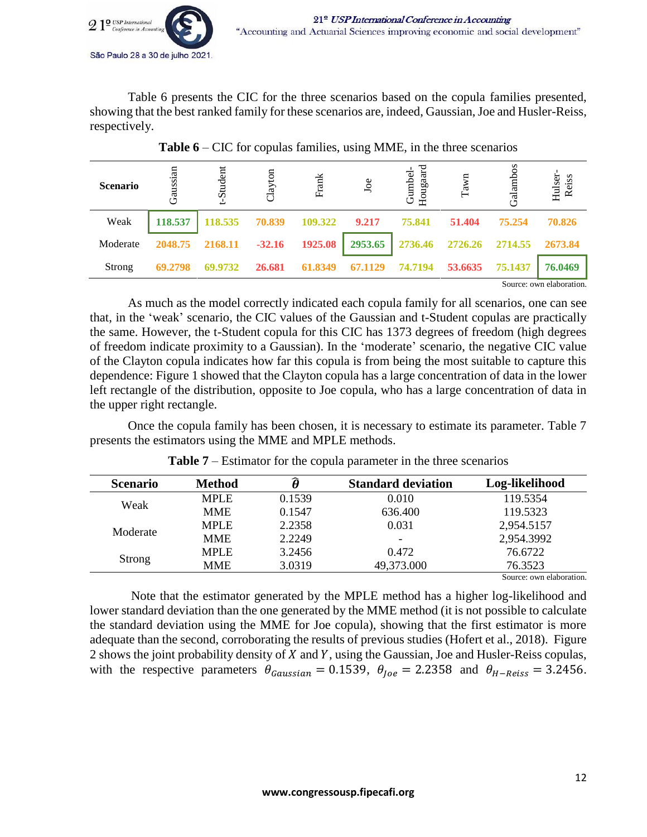

Table 6 presents the CIC for the three scenarios based on the copula families presented, showing that the best ranked family for these scenarios are, indeed, Gaussian, Joe and Husler-Reiss, respectively.

| <b>Scenario</b> | Gaussian | Student | 5<br>Clay | Frank   | Joe     | Hougaard<br>Gumbel | Tawn    | Galamb  | Hulser-<br>Reiss |
|-----------------|----------|---------|-----------|---------|---------|--------------------|---------|---------|------------------|
| Weak            | 118.537  | 118.535 | 70.839    | 109.322 | 9.217   | 75.841             | 51.404  | 75.254  | 70.826           |
| Moderate        | 2048.75  | 2168.11 | $-32.16$  | 1925.08 | 2953.65 | 2736.46            | 2726.26 | 2714.55 | 2673.84          |
| Strong          | 69.2798  | 69.9732 | 26.681    | 61.8349 | 67.1129 | 74.7194            | 53.6635 | 75.1437 | 76.0469          |
|                 |          |         |           |         |         |                    |         |         | $0 \t 11 \t 1$   |

**Table 6** – CIC for copulas families, using MME, in the three scenarios

Source: own elaboration.

As much as the model correctly indicated each copula family for all scenarios, one can see that, in the 'weak' scenario, the CIC values of the Gaussian and t-Student copulas are practically the same. However, the t-Student copula for this CIC has 1373 degrees of freedom (high degrees of freedom indicate proximity to a Gaussian). In the 'moderate' scenario, the negative CIC value of the Clayton copula indicates how far this copula is from being the most suitable to capture this dependence: Figure 1 showed that the Clayton copula has a large concentration of data in the lower left rectangle of the distribution, opposite to Joe copula, who has a large concentration of data in the upper right rectangle.

Once the copula family has been chosen, it is necessary to estimate its parameter. Table 7 presents the estimators using the MME and MPLE methods.

| <b>Scenario</b> | <b>Method</b> |        | <b>Standard deviation</b> | Log-likelihood |
|-----------------|---------------|--------|---------------------------|----------------|
| Weak            | <b>MPLE</b>   | 0.1539 | 0.010                     | 119.5354       |
|                 | <b>MME</b>    | 0.1547 | 636.400                   | 119.5323       |
| Moderate        | <b>MPLE</b>   | 2.2358 | 0.031                     | 2,954.5157     |
|                 | <b>MME</b>    | 2.2249 | $\overline{\phantom{0}}$  | 2,954.3992     |
|                 | <b>MPLE</b>   | 3.2456 | 0.472                     | 76.6722        |
| Strong          | <b>MME</b>    | 3.0319 | 49,373.000                | 76.3523        |
|                 |               |        |                           |                |

**Table 7** – Estimator for the copula parameter in the three scenarios

Source: own elaboration.

Note that the estimator generated by the MPLE method has a higher log-likelihood and lower standard deviation than the one generated by the MME method (it is not possible to calculate the standard deviation using the MME for Joe copula), showing that the first estimator is more adequate than the second, corroborating the results of previous studies (Hofert et al., 2018). Figure 2 shows the joint probability density of  $X$  and  $Y$ , using the Gaussian, Joe and Husler-Reiss copulas, with the respective parameters  $\theta_{Gaussian} = 0.1539$ ,  $\theta_{loc} = 2.2358$  and  $\theta_{H-Reiss} = 3.2456$ .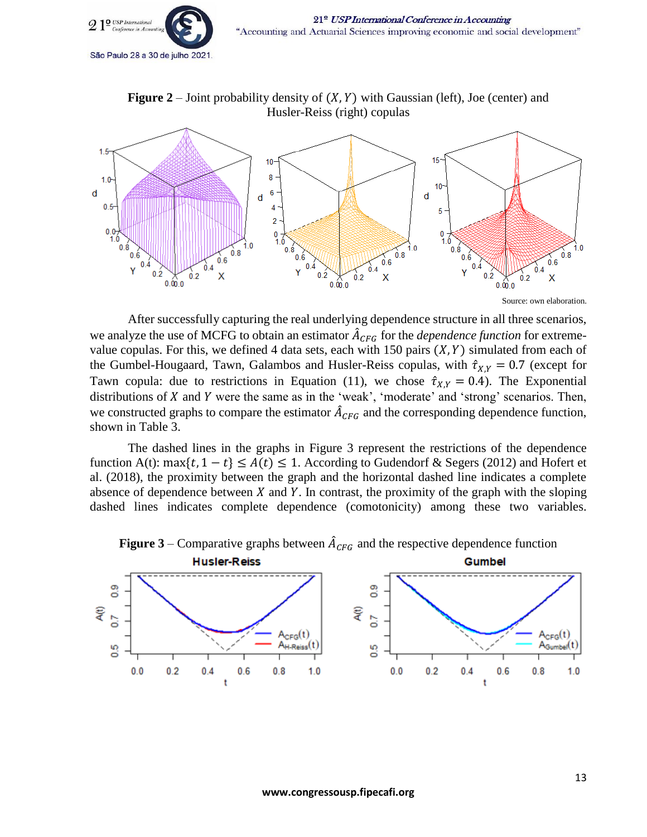

**Figure**  $2$  – Joint probability density of  $(X, Y)$  with Gaussian (left), Joe (center) and Husler-Reiss (right) copulas



Source: own elaboration.

After successfully capturing the real underlying dependence structure in all three scenarios, we analyze the use of MCFG to obtain an estimator  $\hat{A}_{CFG}$  for the *dependence function* for extremevalue copulas. For this, we defined 4 data sets, each with 150 pairs  $(X, Y)$  simulated from each of the Gumbel-Hougaard, Tawn, Galambos and Husler-Reiss copulas, with  $\hat{\tau}_{X,Y} = 0.7$  (except for Tawn copula: due to restrictions in Equation (11), we chose  $\hat{\tau}_{X,Y} = 0.4$ ). The Exponential distributions of  $X$  and  $Y$  were the same as in the 'weak', 'moderate' and 'strong' scenarios. Then, we constructed graphs to compare the estimator  $\hat{A}_{CFG}$  and the corresponding dependence function, shown in Table 3.

The dashed lines in the graphs in Figure 3 represent the restrictions of the dependence function A(t): max{t, 1 - t}  $\leq A(t) \leq 1$ . According to Gudendorf & Segers (2012) and Hofert et al. (2018), the proximity between the graph and the horizontal dashed line indicates a complete absence of dependence between  $X$  and  $Y$ . In contrast, the proximity of the graph with the sloping dashed lines indicates complete dependence (comotonicity) among these two variables.



**Figure** 3 – Comparative graphs between  $\hat{A}_{CFG}$  and the respective dependence function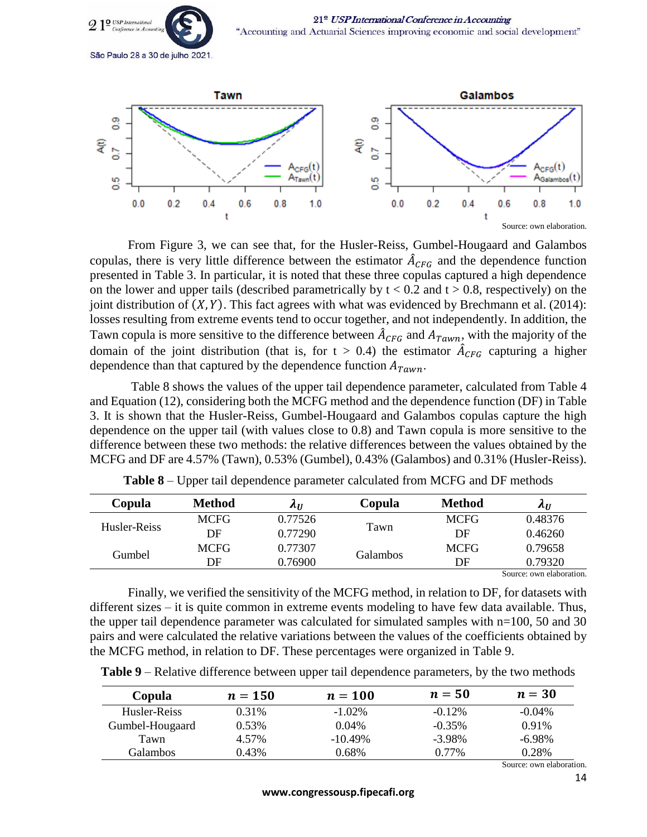



From Figure 3, we can see that, for the Husler-Reiss, Gumbel-Hougaard and Galambos copulas, there is very little difference between the estimator  $\hat{A}_{CFG}$  and the dependence function presented in Table 3. In particular, it is noted that these three copulas captured a high dependence on the lower and upper tails (described parametrically by  $t < 0.2$  and  $t > 0.8$ , respectively) on the joint distribution of  $(X, Y)$ . This fact agrees with what was evidenced by Brechmann et al. (2014): losses resulting from extreme events tend to occur together, and not independently. In addition, the Tawn copula is more sensitive to the difference between  $\hat{A}_{CFG}$  and  $A_{Tawn}$ , with the majority of the domain of the joint distribution (that is, for  $t > 0.4$ ) the estimator  $\hat{A}_{CFG}$  capturing a higher dependence than that captured by the dependence function  $A_{Tawn}$ .

Table 8 shows the values of the upper tail dependence parameter, calculated from Table 4 and Equation (12), considering both the MCFG method and the dependence function (DF) in Table 3. It is shown that the Husler-Reiss, Gumbel-Hougaard and Galambos copulas capture the high dependence on the upper tail (with values close to 0.8) and Tawn copula is more sensitive to the difference between these two methods: the relative differences between the values obtained by the MCFG and DF are 4.57% (Tawn), 0.53% (Gumbel), 0.43% (Galambos) and 0.31% (Husler-Reiss).

| Copula       | Method      | $\lambda$ II | Copula   | Method      | $\lambda$ II             |
|--------------|-------------|--------------|----------|-------------|--------------------------|
| Husler-Reiss | <b>MCFG</b> | 0.77526      |          | <b>MCFG</b> | 0.48376                  |
|              | DF          | 0.77290      | Tawn     | DF          | 0.46260                  |
| Gumbel       | <b>MCFG</b> | 0.77307      |          | <b>MCFG</b> | 0.79658                  |
|              | DF          | 0.76900      | Galambos | DF          | 0.79320                  |
|              |             |              |          |             | Source: own elaboration. |

Finally, we verified the sensitivity of the MCFG method, in relation to DF, for datasets with different sizes – it is quite common in extreme events modeling to have few data available. Thus, the upper tail dependence parameter was calculated for simulated samples with n=100, 50 and 30 pairs and were calculated the relative variations between the values of the coefficients obtained by the MCFG method, in relation to DF. These percentages were organized in Table 9.

|  |  | Table 9 – Relative difference between upper tail dependence parameters, by the two methods |  |  |  |  |  |  |  |  |
|--|--|--------------------------------------------------------------------------------------------|--|--|--|--|--|--|--|--|
|--|--|--------------------------------------------------------------------------------------------|--|--|--|--|--|--|--|--|

| Copula          | $n=150$ | $n=100$    | $n=50$    | $n=30$    |
|-----------------|---------|------------|-----------|-----------|
| Husler-Reiss    | 0.31\%  | $-1.02\%$  | $-0.12\%$ | $-0.04\%$ |
| Gumbel-Hougaard | 0.53%   | $0.04\%$   | $-0.35\%$ | 0.91%     |
| Tawn            | 4.57%   | $-10.49\%$ | $-3.98\%$ | $-6.98\%$ |
| Galambos        | 0.43%   | 0.68%      | $0.77\%$  | 0.28%     |
|                 |         |            |           | $\sim$    |

Source: own elaboration.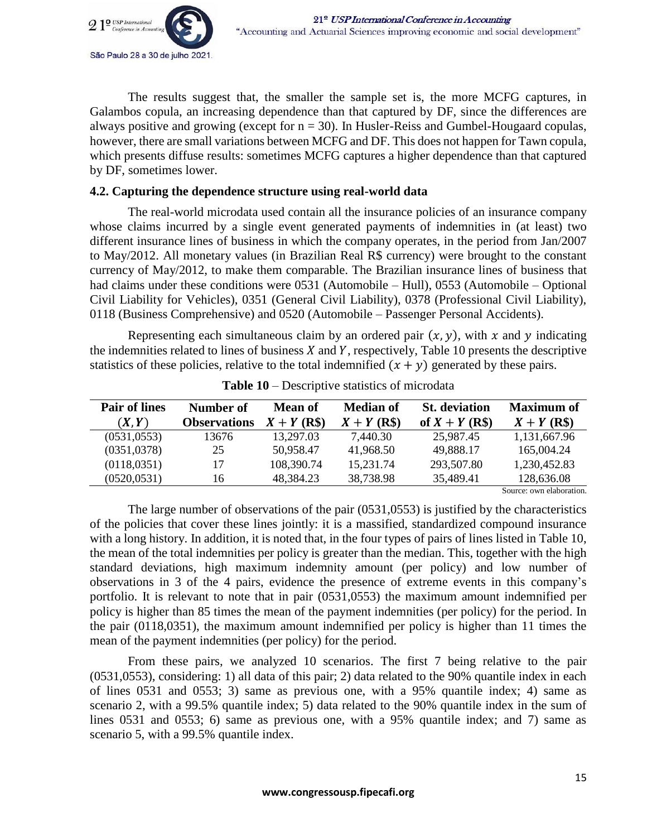

The results suggest that, the smaller the sample set is, the more MCFG captures, in Galambos copula, an increasing dependence than that captured by DF, since the differences are always positive and growing (except for  $n = 30$ ). In Husler-Reiss and Gumbel-Hougaard copulas, however, there are small variations between MCFG and DF. This does not happen for Tawn copula, which presents diffuse results: sometimes MCFG captures a higher dependence than that captured by DF, sometimes lower.

## **4.2. Capturing the dependence structure using real-world data**

The real-world microdata used contain all the insurance policies of an insurance company whose claims incurred by a single event generated payments of indemnities in (at least) two different insurance lines of business in which the company operates, in the period from Jan/2007 to May/2012. All monetary values (in Brazilian Real R\$ currency) were brought to the constant currency of May/2012, to make them comparable. The Brazilian insurance lines of business that had claims under these conditions were 0531 (Automobile – Hull), 0553 (Automobile – Optional Civil Liability for Vehicles), 0351 (General Civil Liability), 0378 (Professional Civil Liability), 0118 (Business Comprehensive) and 0520 (Automobile – Passenger Personal Accidents).

Representing each simultaneous claim by an ordered pair  $(x, y)$ , with x and y indicating the indemnities related to lines of business  $X$  and  $Y$ , respectively, Table 10 presents the descriptive statistics of these policies, relative to the total indemnified  $(x + y)$  generated by these pairs.

| <b>Pair of lines</b> | Number of           | <b>Mean of</b> | <b>Median of</b> | <b>St.</b> deviation | <b>Maximum of</b>        |
|----------------------|---------------------|----------------|------------------|----------------------|--------------------------|
| (X, Y)               | <b>Observations</b> | $X + Y$ (R\$)  | $X + Y$ (R\$)    | of $X + Y$ (R\$)     | $X + Y$ (R\$)            |
| (0531, 0553)         | 13676               | 13,297.03      | 7,440.30         | 25,987.45            | 1,131,667.96             |
| (0351, 0378)         | 25                  | 50,958.47      | 41,968.50        | 49,888.17            | 165,004.24               |
| (0118, 0351)         | 17                  | 108,390.74     | 15,231.74        | 293,507.80           | 1,230,452.83             |
| (0520, 0531)         | 16                  | 48,384.23      | 38,738.98        | 35,489.41            | 128,636.08               |
|                      |                     |                |                  |                      | Source: own elaboration. |

**Table 10** – Descriptive statistics of microdata

The large number of observations of the pair (0531,0553) is justified by the characteristics of the policies that cover these lines jointly: it is a massified, standardized compound insurance with a long history. In addition, it is noted that, in the four types of pairs of lines listed in Table 10, the mean of the total indemnities per policy is greater than the median. This, together with the high standard deviations, high maximum indemnity amount (per policy) and low number of observations in 3 of the 4 pairs, evidence the presence of extreme events in this company's portfolio. It is relevant to note that in pair (0531,0553) the maximum amount indemnified per policy is higher than 85 times the mean of the payment indemnities (per policy) for the period. In the pair (0118,0351), the maximum amount indemnified per policy is higher than 11 times the mean of the payment indemnities (per policy) for the period.

From these pairs, we analyzed 10 scenarios. The first 7 being relative to the pair (0531,0553), considering: 1) all data of this pair; 2) data related to the 90% quantile index in each of lines 0531 and 0553; 3) same as previous one, with a 95% quantile index; 4) same as scenario 2, with a 99.5% quantile index; 5) data related to the 90% quantile index in the sum of lines 0531 and 0553; 6) same as previous one, with a 95% quantile index; and 7) same as scenario 5, with a 99.5% quantile index.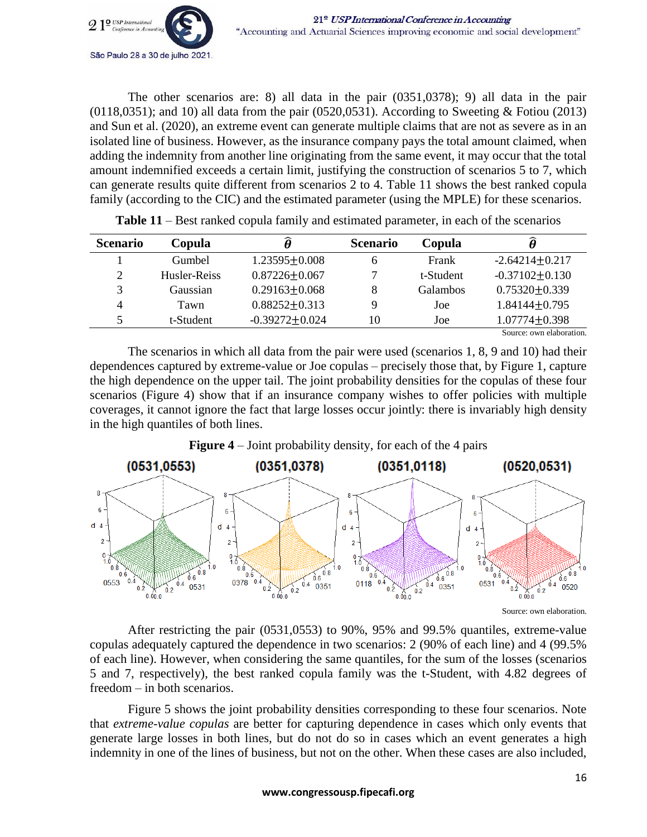

The other scenarios are: 8) all data in the pair (0351,0378); 9) all data in the pair  $(0.0118,0.0351)$ ; and 10) all data from the pair  $(0.0520,0.0531)$ . According to Sweeting & Fotiou (2013) and Sun et al. (2020), an extreme event can generate multiple claims that are not as severe as in an isolated line of business. However, as the insurance company pays the total amount claimed, when adding the indemnity from another line originating from the same event, it may occur that the total amount indemnified exceeds a certain limit, justifying the construction of scenarios 5 to 7, which can generate results quite different from scenarios 2 to 4. Table 11 shows the best ranked copula family (according to the CIC) and the estimated parameter (using the MPLE) for these scenarios.

| <b>Scenario</b> | Copula       | Ô                   | <b>Scenario</b> | Copula          | Ô                        |
|-----------------|--------------|---------------------|-----------------|-----------------|--------------------------|
|                 | Gumbel       | $1.23595 \pm 0.008$ | 6               | Frank           | $-2.64214 \pm 0.217$     |
| 2               | Husler-Reiss | $0.87226 \pm 0.067$ | ⇁               | t-Student       | $-0.37102 \pm 0.130$     |
| 3               | Gaussian     | $0.29163 + 0.068$   | 8               | <b>Galambos</b> | $0.75320 + 0.339$        |
| 4               | Tawn         | $0.88252 + 0.313$   | Q               | Joe             | $1.84144 + 0.795$        |
| 5               | t-Student    | $-0.39272 + 0.024$  | 10              | Joe             | $1.07774 \pm 0.398$      |
|                 |              |                     |                 |                 | Source: own elaboration. |

**Table 11** – Best ranked copula family and estimated parameter, in each of the scenarios

The scenarios in which all data from the pair were used (scenarios 1, 8, 9 and 10) had their dependences captured by extreme-value or Joe copulas – precisely those that, by Figure 1, capture the high dependence on the upper tail. The joint probability densities for the copulas of these four scenarios (Figure 4) show that if an insurance company wishes to offer policies with multiple coverages, it cannot ignore the fact that large losses occur jointly: there is invariably high density in the high quantiles of both lines.



**Figure 4** – Joint probability density, for each of the 4 pairs

Source: own elaboration.

After restricting the pair (0531,0553) to 90%, 95% and 99.5% quantiles, extreme-value copulas adequately captured the dependence in two scenarios: 2 (90% of each line) and 4 (99.5% of each line). However, when considering the same quantiles, for the sum of the losses (scenarios 5 and 7, respectively), the best ranked copula family was the t-Student, with 4.82 degrees of freedom – in both scenarios.

Figure 5 shows the joint probability densities corresponding to these four scenarios. Note that *extreme-value copulas* are better for capturing dependence in cases which only events that generate large losses in both lines, but do not do so in cases which an event generates a high indemnity in one of the lines of business, but not on the other. When these cases are also included,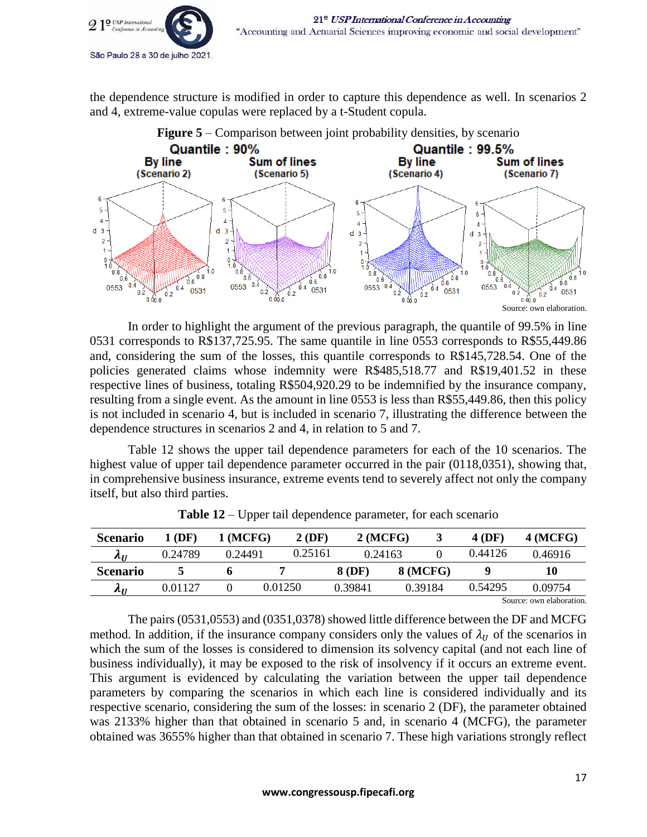

the dependence structure is modified in order to capture this dependence as well. In scenarios 2 and 4, extreme-value copulas were replaced by a t-Student copula.



In order to highlight the argument of the previous paragraph, the quantile of 99.5% in line 0531 corresponds to R\$137,725.95. The same quantile in line 0553 corresponds to R\$55,449.86 and, considering the sum of the losses, this quantile corresponds to R\$145,728.54. One of the policies generated claims whose indemnity were R\$485,518.77 and R\$19,401.52 in these respective lines of business, totaling R\$504,920.29 to be indemnified by the insurance company, resulting from a single event. As the amount in line 0553 is less than R\$55,449.86, then this policy is not included in scenario 4, but is included in scenario 7, illustrating the difference between the dependence structures in scenarios 2 and 4, in relation to 5 and 7.

Table 12 shows the upper tail dependence parameters for each of the 10 scenarios. The highest value of upper tail dependence parameter occurred in the pair (0118,0351), showing that, in comprehensive business insurance, extreme events tend to severely affect not only the company itself, but also third parties.

| <b>Scenario</b> | 1 (DF)  | $1$ (MCFG) |         | 2(DF)   | 2(MCFG) |                 | <b>4 (DF)</b> | 4(MCFG)                  |
|-----------------|---------|------------|---------|---------|---------|-----------------|---------------|--------------------------|
| $\Lambda_{II}$  | 0.24789 | 0.24491    |         | 0.25161 | 0.24163 |                 | 0.44126       | 0.46916                  |
| <b>Scenario</b> |         |            |         |         | 8 (DF)  | <b>8 (MCFG)</b> |               | 10                       |
| $\lambda$ II    | 0.01127 |            | 0.01250 |         | 0.39841 | 0.39184         | 0.54295       | 0.09754                  |
|                 |         |            |         |         |         |                 |               | Source: own elaboration. |

**Table 12** – Upper tail dependence parameter, for each scenario

The pairs (0531,0553) and (0351,0378) showed little difference between the DF and MCFG method. In addition, if the insurance company considers only the values of  $\lambda_{II}$  of the scenarios in which the sum of the losses is considered to dimension its solvency capital (and not each line of business individually), it may be exposed to the risk of insolvency if it occurs an extreme event. This argument is evidenced by calculating the variation between the upper tail dependence parameters by comparing the scenarios in which each line is considered individually and its respective scenario, considering the sum of the losses: in scenario 2 (DF), the parameter obtained was 2133% higher than that obtained in scenario 5 and, in scenario 4 (MCFG), the parameter obtained was 3655% higher than that obtained in scenario 7. These high variations strongly reflect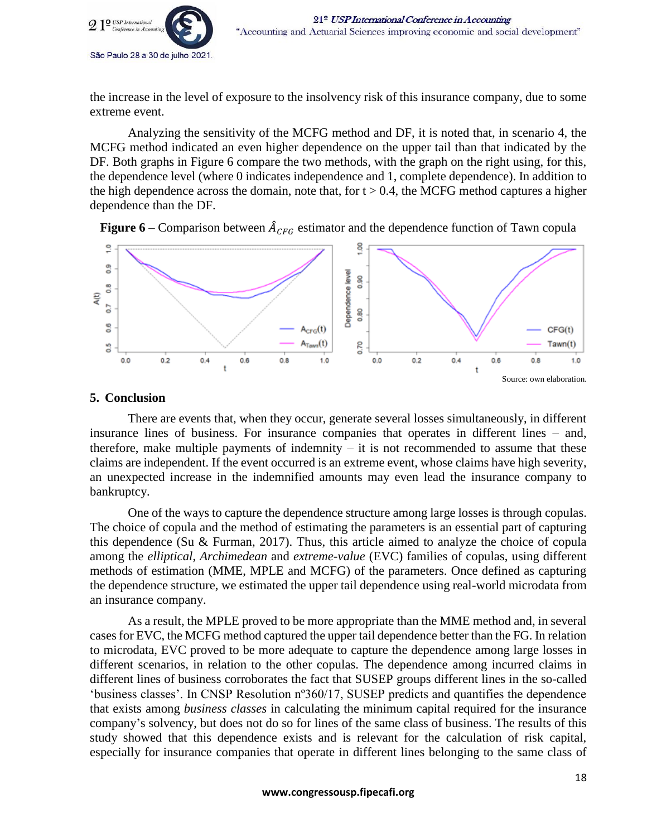

the increase in the level of exposure to the insolvency risk of this insurance company, due to some extreme event.

Analyzing the sensitivity of the MCFG method and DF, it is noted that, in scenario 4, the MCFG method indicated an even higher dependence on the upper tail than that indicated by the DF. Both graphs in Figure 6 compare the two methods, with the graph on the right using, for this, the dependence level (where 0 indicates independence and 1, complete dependence). In addition to the high dependence across the domain, note that, for  $t > 0.4$ , the MCFG method captures a higher dependence than the DF.





## **5. Conclusion**

There are events that, when they occur, generate several losses simultaneously, in different insurance lines of business. For insurance companies that operates in different lines – and, therefore, make multiple payments of indemnity  $-$  it is not recommended to assume that these claims are independent. If the event occurred is an extreme event, whose claims have high severity, an unexpected increase in the indemnified amounts may even lead the insurance company to bankruptcy.

One of the ways to capture the dependence structure among large losses is through copulas. The choice of copula and the method of estimating the parameters is an essential part of capturing this dependence (Su & Furman, 2017). Thus, this article aimed to analyze the choice of copula among the *elliptical*, *Archimedean* and *extreme-value* (EVC) families of copulas, using different methods of estimation (MME, MPLE and MCFG) of the parameters. Once defined as capturing the dependence structure, we estimated the upper tail dependence using real-world microdata from an insurance company.

As a result, the MPLE proved to be more appropriate than the MME method and, in several cases for EVC, the MCFG method captured the upper tail dependence better than the FG. In relation to microdata, EVC proved to be more adequate to capture the dependence among large losses in different scenarios, in relation to the other copulas. The dependence among incurred claims in different lines of business corroborates the fact that SUSEP groups different lines in the so-called 'business classes'. In CNSP Resolution nº360/17, SUSEP predicts and quantifies the dependence that exists among *business classes* in calculating the minimum capital required for the insurance company's solvency, but does not do so for lines of the same class of business. The results of this study showed that this dependence exists and is relevant for the calculation of risk capital, especially for insurance companies that operate in different lines belonging to the same class of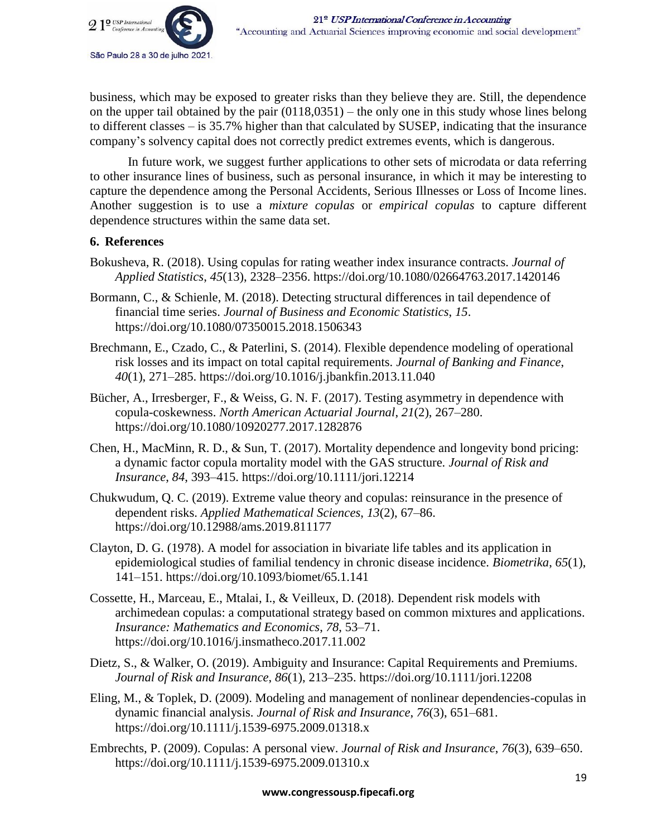

business, which may be exposed to greater risks than they believe they are. Still, the dependence on the upper tail obtained by the pair (0118,0351) – the only one in this study whose lines belong to different classes – is 35.7% higher than that calculated by SUSEP, indicating that the insurance company's solvency capital does not correctly predict extremes events, which is dangerous.

In future work, we suggest further applications to other sets of microdata or data referring to other insurance lines of business, such as personal insurance, in which it may be interesting to capture the dependence among the Personal Accidents, Serious Illnesses or Loss of Income lines. Another suggestion is to use a *mixture copulas* or *empirical copulas* to capture different dependence structures within the same data set.

## **6. References**

- Bokusheva, R. (2018). Using copulas for rating weather index insurance contracts. *Journal of Applied Statistics*, *45*(13), 2328–2356. https://doi.org/10.1080/02664763.2017.1420146
- Bormann, C., & Schienle, M. (2018). Detecting structural differences in tail dependence of financial time series. *Journal of Business and Economic Statistics*, *15*. https://doi.org/10.1080/07350015.2018.1506343
- Brechmann, E., Czado, C., & Paterlini, S. (2014). Flexible dependence modeling of operational risk losses and its impact on total capital requirements. *Journal of Banking and Finance*, *40*(1), 271–285. https://doi.org/10.1016/j.jbankfin.2013.11.040
- Bücher, A., Irresberger, F., & Weiss, G. N. F. (2017). Testing asymmetry in dependence with copula-coskewness. *North American Actuarial Journal*, *21*(2), 267–280. https://doi.org/10.1080/10920277.2017.1282876
- Chen, H., MacMinn, R. D., & Sun, T. (2017). Mortality dependence and longevity bond pricing: a dynamic factor copula mortality model with the GAS structure. *Journal of Risk and Insurance*, *84*, 393–415. https://doi.org/10.1111/jori.12214
- Chukwudum, Q. C. (2019). Extreme value theory and copulas: reinsurance in the presence of dependent risks. *Applied Mathematical Sciences*, *13*(2), 67–86. https://doi.org/10.12988/ams.2019.811177
- Clayton, D. G. (1978). A model for association in bivariate life tables and its application in epidemiological studies of familial tendency in chronic disease incidence. *Biometrika*, *65*(1), 141–151. https://doi.org/10.1093/biomet/65.1.141
- Cossette, H., Marceau, E., Mtalai, I., & Veilleux, D. (2018). Dependent risk models with archimedean copulas: a computational strategy based on common mixtures and applications. *Insurance: Mathematics and Economics*, *78*, 53–71. https://doi.org/10.1016/j.insmatheco.2017.11.002
- Dietz, S., & Walker, O. (2019). Ambiguity and Insurance: Capital Requirements and Premiums. *Journal of Risk and Insurance*, *86*(1), 213–235. https://doi.org/10.1111/jori.12208
- Eling, M., & Toplek, D. (2009). Modeling and management of nonlinear dependencies-copulas in dynamic financial analysis. *Journal of Risk and Insurance*, *76*(3), 651–681. https://doi.org/10.1111/j.1539-6975.2009.01318.x
- Embrechts, P. (2009). Copulas: A personal view. *Journal of Risk and Insurance*, *76*(3), 639–650. https://doi.org/10.1111/j.1539-6975.2009.01310.x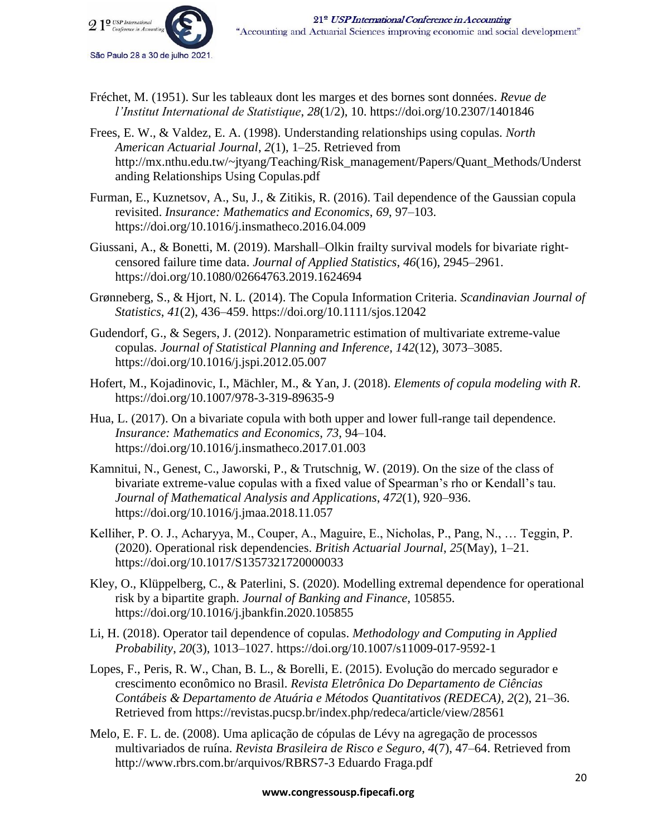

- Fréchet, M. (1951). Sur les tableaux dont les marges et des bornes sont données. *Revue de l'Institut International de Statistique*, *28*(1/2), 10. https://doi.org/10.2307/1401846
- Frees, E. W., & Valdez, E. A. (1998). Understanding relationships using copulas. *North American Actuarial Journal*, *2*(1), 1–25. Retrieved from http://mx.nthu.edu.tw/~jtyang/Teaching/Risk\_management/Papers/Quant\_Methods/Underst anding Relationships Using Copulas.pdf
- Furman, E., Kuznetsov, A., Su, J., & Zitikis, R. (2016). Tail dependence of the Gaussian copula revisited. *Insurance: Mathematics and Economics*, *69*, 97–103. https://doi.org/10.1016/j.insmatheco.2016.04.009
- Giussani, A., & Bonetti, M. (2019). Marshall–Olkin frailty survival models for bivariate rightcensored failure time data. *Journal of Applied Statistics*, *46*(16), 2945–2961. https://doi.org/10.1080/02664763.2019.1624694
- Grønneberg, S., & Hjort, N. L. (2014). The Copula Information Criteria. *Scandinavian Journal of Statistics*, *41*(2), 436–459. https://doi.org/10.1111/sjos.12042
- Gudendorf, G., & Segers, J. (2012). Nonparametric estimation of multivariate extreme-value copulas. *Journal of Statistical Planning and Inference*, *142*(12), 3073–3085. https://doi.org/10.1016/j.jspi.2012.05.007
- Hofert, M., Kojadinovic, I., Mächler, M., & Yan, J. (2018). *Elements of copula modeling with R*. https://doi.org/10.1007/978-3-319-89635-9
- Hua, L. (2017). On a bivariate copula with both upper and lower full-range tail dependence. *Insurance: Mathematics and Economics*, *73*, 94–104. https://doi.org/10.1016/j.insmatheco.2017.01.003
- Kamnitui, N., Genest, C., Jaworski, P., & Trutschnig, W. (2019). On the size of the class of bivariate extreme-value copulas with a fixed value of Spearman's rho or Kendall's tau. *Journal of Mathematical Analysis and Applications*, *472*(1), 920–936. https://doi.org/10.1016/j.jmaa.2018.11.057
- Kelliher, P. O. J., Acharyya, M., Couper, A., Maguire, E., Nicholas, P., Pang, N., … Teggin, P. (2020). Operational risk dependencies. *British Actuarial Journal*, *25*(May), 1–21. https://doi.org/10.1017/S1357321720000033
- Kley, O., Klüppelberg, C., & Paterlini, S. (2020). Modelling extremal dependence for operational risk by a bipartite graph. *Journal of Banking and Finance*, 105855. https://doi.org/10.1016/j.jbankfin.2020.105855
- Li, H. (2018). Operator tail dependence of copulas. *Methodology and Computing in Applied Probability*, *20*(3), 1013–1027. https://doi.org/10.1007/s11009-017-9592-1
- Lopes, F., Peris, R. W., Chan, B. L., & Borelli, E. (2015). Evolução do mercado segurador e crescimento econômico no Brasil. *Revista Eletrônica Do Departamento de Ciências Contábeis & Departamento de Atuária e Métodos Quantitativos (REDECA)*, *2*(2), 21–36. Retrieved from https://revistas.pucsp.br/index.php/redeca/article/view/28561
- Melo, E. F. L. de. (2008). Uma aplicação de cópulas de Lévy na agregação de processos multivariados de ruína. *Revista Brasileira de Risco e Seguro*, *4*(7), 47–64. Retrieved from http://www.rbrs.com.br/arquivos/RBRS7-3 Eduardo Fraga.pdf